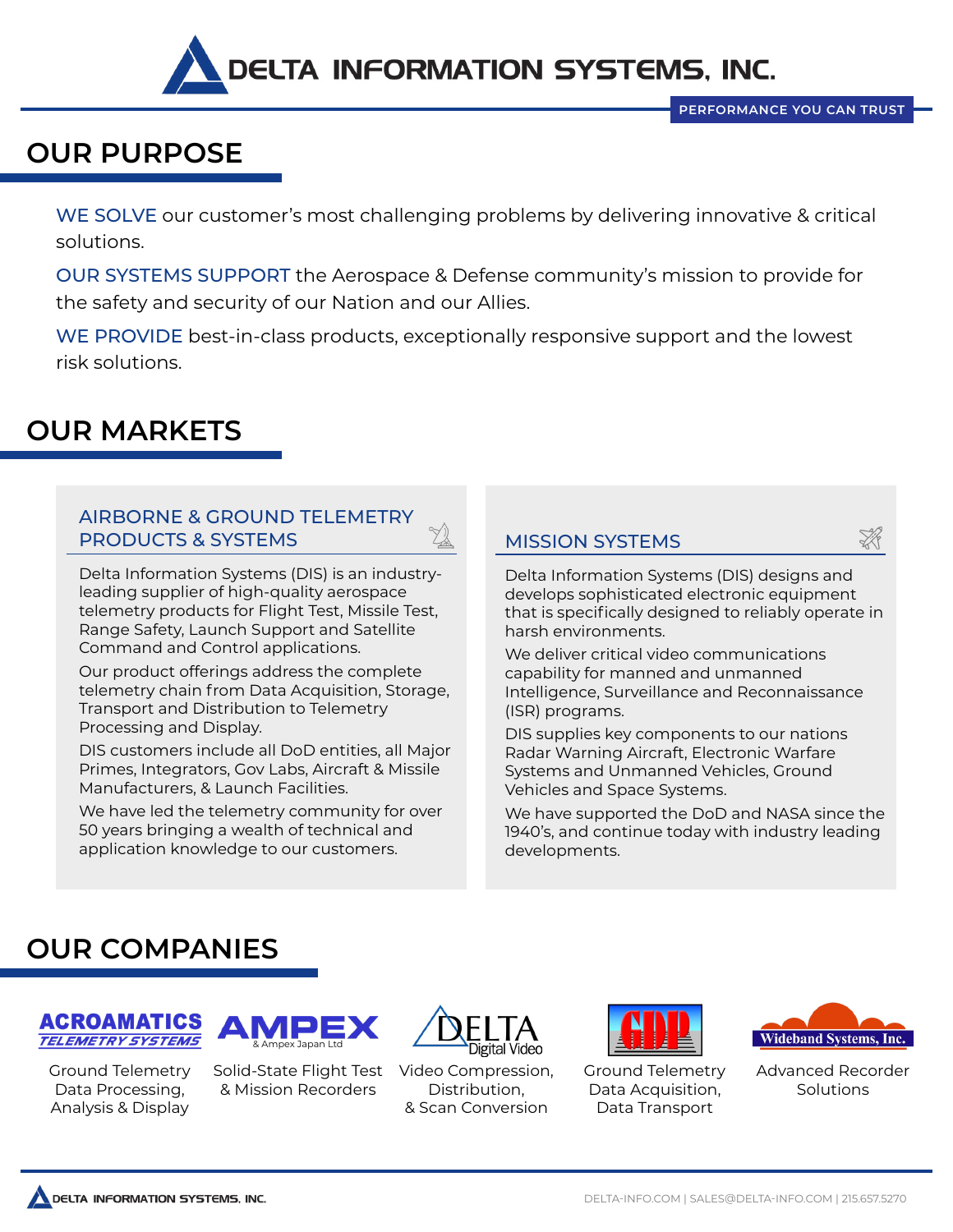

### **OUR PURPOSE**

WE SOLVE our customer's most challenging problems by delivering innovative & critical solutions.

OUR SYSTEMS SUPPORT the Aerospace & Defense community's mission to provide for the safety and security of our Nation and our Allies.

WE PROVIDE best-in-class products, exceptionally responsive support and the lowest risk solutions.

## **OUR MARKETS**

#### AIRBORNE & GROUND TELEMETRY PRODUCTS & SYSTEMS

Delta Information Systems (DIS) is an industryleading supplier of high-quality aerospace telemetry products for Flight Test, Missile Test, Range Safety, Launch Support and Satellite Command and Control applications.

Our product offerings address the complete telemetry chain from Data Acquisition, Storage, Transport and Distribution to Telemetry Processing and Display.

DIS customers include all DoD entities, all Major Primes, Integrators, Gov Labs, Aircraft & Missile Manufacturers, & Launch Facilities.

We have led the telemetry community for over 50 years bringing a wealth of technical and application knowledge to our customers.

#### MISSION SYSTEMS

Delta Information Systems (DIS) designs and develops sophisticated electronic equipment that is specifically designed to reliably operate in harsh environments.

We deliver critical video communications capability for manned and unmanned Intelligence, Surveillance and Reconnaissance (ISR) programs.

DIS supplies key components to our nations Radar Warning Aircraft, Electronic Warfare Systems and Unmanned Vehicles, Ground Vehicles and Space Systems.

We have supported the DoD and NASA since the 1940's, and continue today with industry leading developments.

### **OUR COMPANIES**



Ground Telemetry Data Processing, Analysis & Display



Solid-State Flight Test & Mission Recorders



Video Compression, Distribution, & Scan Conversion



Ground Telemetry Data Acquisition, Data Transport



Advanced Recorder **Solutions**